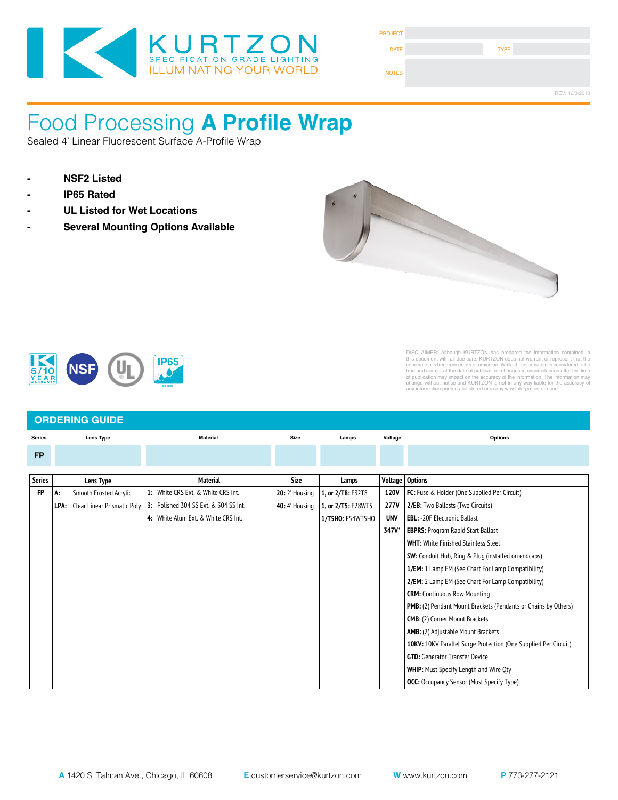

| <b>PROJECT</b> |             |                |
|----------------|-------------|----------------|
| <b>DATE</b>    | <b>TYPE</b> |                |
| <b>NOTES</b>   |             |                |
|                |             | REV: 10/3/2018 |

#### Food Processing **A Profile Wrap** LOUU LIUCCOSINY A FIUNC VI Approved By

Sealed 4' Linear Fluorescent Surface A-Profile Wrap

- 
- 
- **LENS**: High durability .135" this durability .135" thick virgin acrylic with P12 prismatic pattern inverted. Se<br>This durability with NSF listed RTV silicone. See "Options" for other choices. See "Options" for other choice
- **Exaga Fidda Fidda Feraga Feraga Feraga Fidda Fidda Fidda Fidda Fidda Fidda Fidda Fidda Fidda Fidda Fidda Fidda**



Fixture Type



### DISCLAIMER: Although KURTZON has prepared the information contained in this document with all due care, KURTZON does not warrant or represent that the<br>information is free from errors or comission. While the information is considered to be<br>true and correct at the date of publication, changes i

#### **ORDERING GUIDE Series Lens Type Material Size FP Options Series Lens Type Material Size Lamps Voltage Options FP** | A: Smooth Frosted Acrylic | 1: White CRS Ext. & White CRS Int. | 20: 2' Housing | 1, or 2/T8: F32T8 | 120V | FC: Fuse & Holder (One Supplied Per Circuit) **LPA:** Clear Linear Prismatic Poly 3: Polished 304 SS Ext. & 304 SS Int. **40:** 4' Housing 1, or 2/T5: **F28WT5** 277V **4:** White Alum Ext. & White CRS Int. **1/F5HO: F54WT5HO | UNV 347V\*** | EBPRS: Program Rapid Start Ballast **WHT:** White Finished Stainless Steel **SW:** Conduit Hub, Ring & Plug (installed on endcaps) **1/EM:** 1 Lamp EM (See Chart For Lamp Compatibility) **2/EM:** 2 Lamp EM (See Chart For Lamp Compatibility) **CRM:** Continuous Row Mounting **PMB:** (2) Pendant Mount Brackets (Pendants or Chains by Others) **CMB**: (2) Corner Mount Brackets **AMB:** (2) Adjustable Mount Brackets **10KV:** 10KV Parallel Surge Protection (One Supplied Per Circuit) **GTD:** Generator Transfer Device **WHIP:** Must Specify Length and Wire Qty **OCC:** Occupancy Sensor (Must Specify Type) **Series 3**: White 430 SS  $\overline{a}$  Mate **4**: White AL Hsg. & Polished 304 SS Door **7**: White AL Hsg. & White CRS Door **1x4**: 1' x 4' Housing **2/LEDR**  $\frac{1}{\sqrt{2}}$ **20:** 2' Housing 1. 1, or 2/T8: F32T8 1, or 2/T5: F28WT5 Lamps **Voltage** Voltage) **Voltage** Options 120V **2/EB:** Two Ballasts (Two Circuits) **A19**: .156" Prismatic P19 Pattern Clear Acrylic **UNV EDL:** -20F ELECTIONIC DATIAST **Paralished** Stainle **CRM:** Continuous **R**: Recessed (Suitable for A: Smooth Frosted Acrylic **3**: White 430 SS Hsg. & Polished 304 SS Door **4**: White AL Hsg. & Polished 304 SS Door **1** Acrylic **1:** White CRS Ext. & White CRS Int. **3**: Polished 304 SS Ext. & 304 SS Int. **2x2**: 2' x 2' Housing <u></u> **2/LEDR 2/LEDH 3/LEDH 4.** H **S**: Surface **1**: White CRS Hsg. & White CRS Door **2**: White CRS Hsg. & Polished 304 SS Door **3**: Polished 304 SS Hsg. & Polished 304 SS Door **4**: White AL Hsg. & Polished 304 SS Door **5**: White AL Hsg. & White AL Door **6**: White CRS Hsg. & White AL Door **7**: White AL Hsg. & White CRS Door **1x4**: 1' x 4' Housing **2/LEDR Series Installation Type Material Size Source CCT Voltage Options**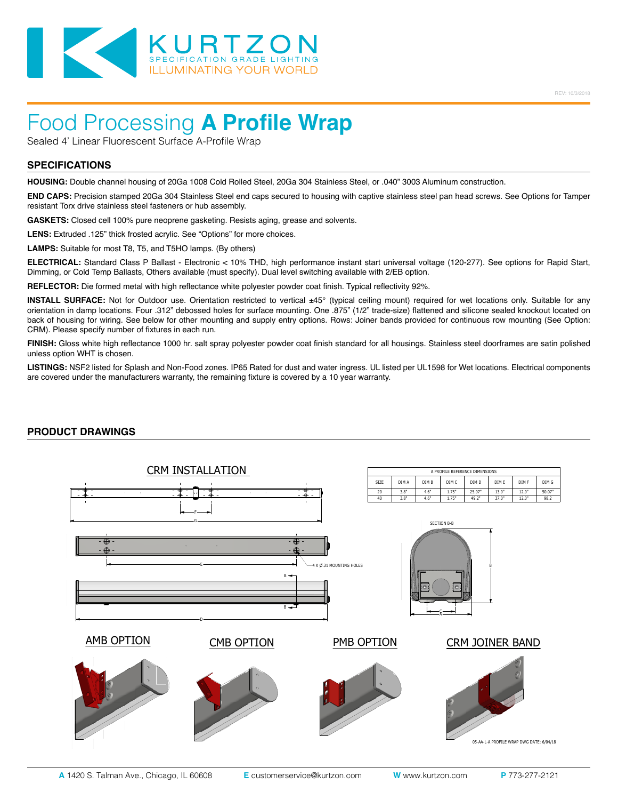

## Food Processing **A Profile Wrap**

Sealed 4' Linear Fluorescent Surface A-Profile Wrap

#### **SPECIFICATIONS**

**HOUSING:** Double channel housing of 20Ga 1008 Cold Rolled Steel, 20Ga 304 Stainless Steel, or .040" 3003 Aluminum construction.

**END CAPS:** Precision stamped 20Ga 304 Stainless Steel end caps secured to housing with captive stainless steel pan head screws. See Options for Tamper resistant Torx drive stainless steel fasteners or hub assembly.

**GASKETS:** Closed cell 100% pure neoprene gasketing. Resists aging, grease and solvents.

LENS: Extruded .125" thick frosted acrylic. See "Options" for more choices.

**LAMPS:** Suitable for most T8, T5, and T5HO lamps. (By others)

**ELECTRICAL:** Standard Class P Ballast - Electronic < 10% THD, high performance instant start universal voltage (120-277). See options for Rapid Start, Dimming, or Cold Temp Ballasts, Others available (must specify). Dual level switching available with 2/EB option.

**REFLECTOR:** Die formed metal with high reflectance white polyester powder coat finish. Typical reflectivity 92%.

**INSTALL SURFACE:** Not for Outdoor use. Orientation restricted to vertical ±45° (typical ceiling mount) required for wet locations only. Suitable for any orientation in damp locations. Four .312" debossed holes for surface mounting. One .875" (1/2" trade-size) flattened and silicone sealed knockout located on back of housing for wiring. See below for other mounting and supply entry options. Rows: Joiner bands provided for continuous row mounting (See Option: CRM). Please specify number of fixtures in each run.

**FINISH:** Gloss white high reflectance 1000 hr. salt spray polyester powder coat finish standard for all housings. Stainless steel doorframes are satin polished unless option WHT is chosen.

**LISTINGS:** NSF2 listed for Splash and Non-Food zones. IP65 Rated for dust and water ingress. UL listed per UL1598 for Wet locations. Electrical components are covered under the manufacturers warranty, the remaining fixture is covered by a 10 year warranty.

#### **PRODUCT DRAWINGS**